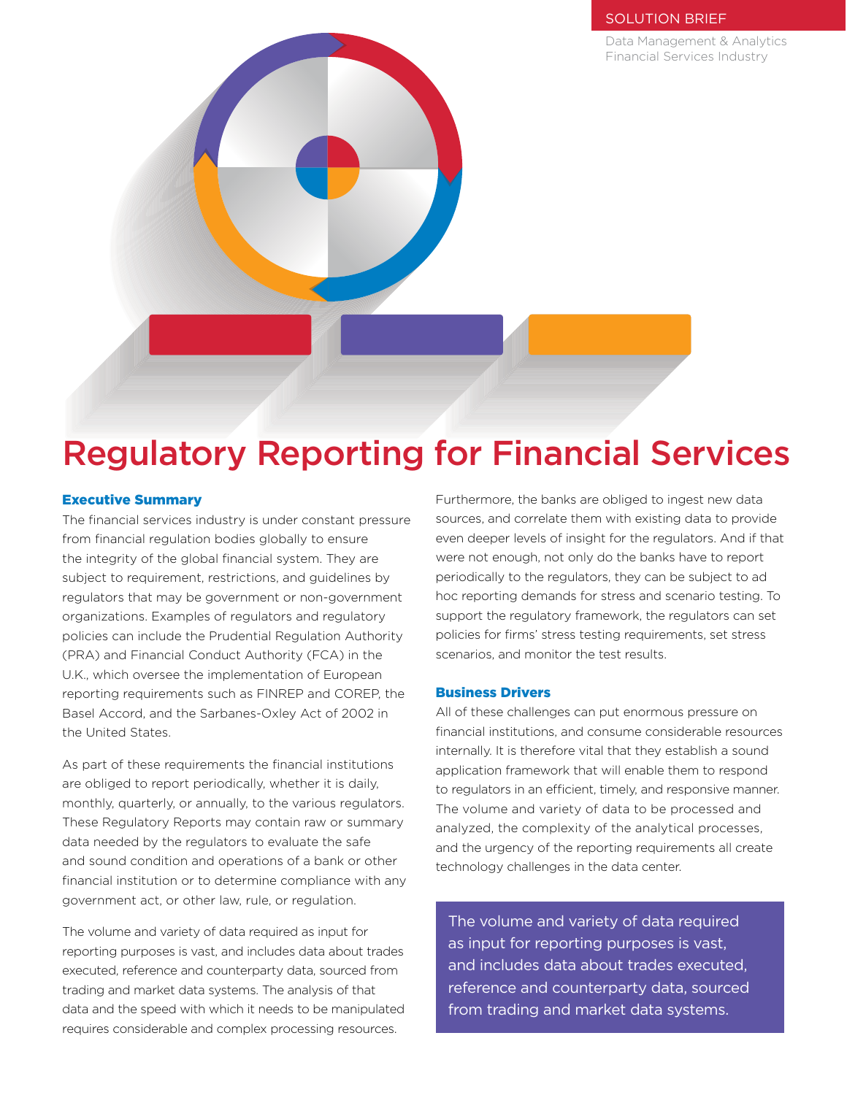## SOLUTION BRIEF

Data Management & Analytics Financial Services Industry



# Regulatory Reporting for Financial Services

### Executive Summary

The financial services industry is under constant pressure from financial regulation bodies globally to ensure the integrity of the global financial system. They are subject to requirement, restrictions, and guidelines by regulators that may be government or non-government organizations. Examples of regulators and regulatory policies can include the Prudential Regulation Authority (PRA) and Financial Conduct Authority (FCA) in the U.K., which oversee the implementation of European reporting requirements such as FINREP and COREP, the Basel Accord, and the Sarbanes-Oxley Act of 2002 in the United States.

As part of these requirements the financial institutions are obliged to report periodically, whether it is daily, monthly, quarterly, or annually, to the various regulators. These Regulatory Reports may contain raw or summary data needed by the regulators to evaluate the safe and sound condition and operations of a bank or other financial institution or to determine compliance with any government act, or other law, rule, or regulation.

The volume and variety of data required as input for reporting purposes is vast, and includes data about trades executed, reference and counterparty data, sourced from trading and market data systems. The analysis of that data and the speed with which it needs to be manipulated requires considerable and complex processing resources.

Furthermore, the banks are obliged to ingest new data sources, and correlate them with existing data to provide even deeper levels of insight for the regulators. And if that were not enough, not only do the banks have to report periodically to the regulators, they can be subject to ad hoc reporting demands for stress and scenario testing. To support the regulatory framework, the regulators can set policies for firms' stress testing requirements, set stress scenarios, and monitor the test results.

## Business Drivers

All of these challenges can put enormous pressure on financial institutions, and consume considerable resources internally. It is therefore vital that they establish a sound application framework that will enable them to respond to regulators in an efficient, timely, and responsive manner. The volume and variety of data to be processed and analyzed, the complexity of the analytical processes, and the urgency of the reporting requirements all create technology challenges in the data center.

The volume and variety of data required as input for reporting purposes is vast, and includes data about trades executed, reference and counterparty data, sourced from trading and market data systems.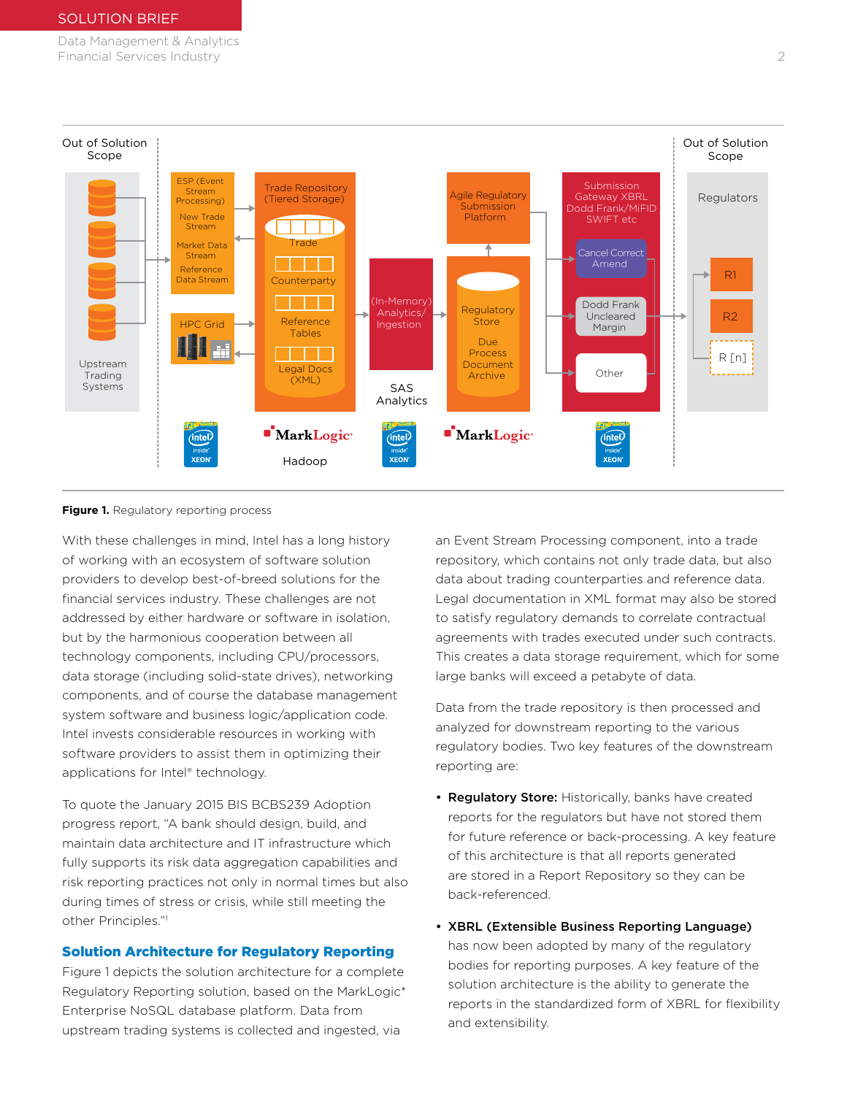Data Management & Analytics Financial Services Industry 2



#### **Figure 1.** Regulatory reporting process

With these challenges in mind, Intel has a long history of working with an ecosystem of software solution providers to develop best-of-breed solutions for the financial services industry. These challenges are not addressed by either hardware or software in isolation, but by the harmonious cooperation between all technology components, including CPU/processors, data storage (including solid-state drives), networking components, and of course the database management system software and business logic/application code. Intel invests considerable resources in working with software providers to assist them in optimizing their applications for Intel® technology.

To quote the January 2015 BIS BCBS239 Adoption progress report, "A bank should design, build, and maintain data architecture and IT infrastructure which fully supports its risk data aggregation capabilities and risk reporting practices not only in normal times but also during times of stress or crisis, while still meeting the other Principles."1

## Solution Architecture for Regulatory Reporting

Figure 1 depicts the solution architecture for a complete Regulatory Reporting solution, based on the MarkLogic\* Enterprise NoSQL database platform. Data from upstream trading systems is collected and ingested, via

an Event Stream Processing component, into a trade repository, which contains not only trade data, but also data about trading counterparties and reference data. Legal documentation in XML format may also be stored to satisfy regulatory demands to correlate contractual agreements with trades executed under such contracts. This creates a data storage requirement, which for some large banks will exceed a petabyte of data.

Data from the trade repository is then processed and analyzed for downstream reporting to the various regulatory bodies. Two key features of the downstream reporting are:

- Regulatory Store: Historically, banks have created reports for the regulators but have not stored them for future reference or back-processing. A key feature of this architecture is that all reports generated are stored in a Report Repository so they can be back-referenced.
- XBRL (Extensible Business Reporting Language) has now been adopted by many of the regulatory bodies for reporting purposes. A key feature of the solution architecture is the ability to generate the reports in the standardized form of XBRL for flexibility and extensibility.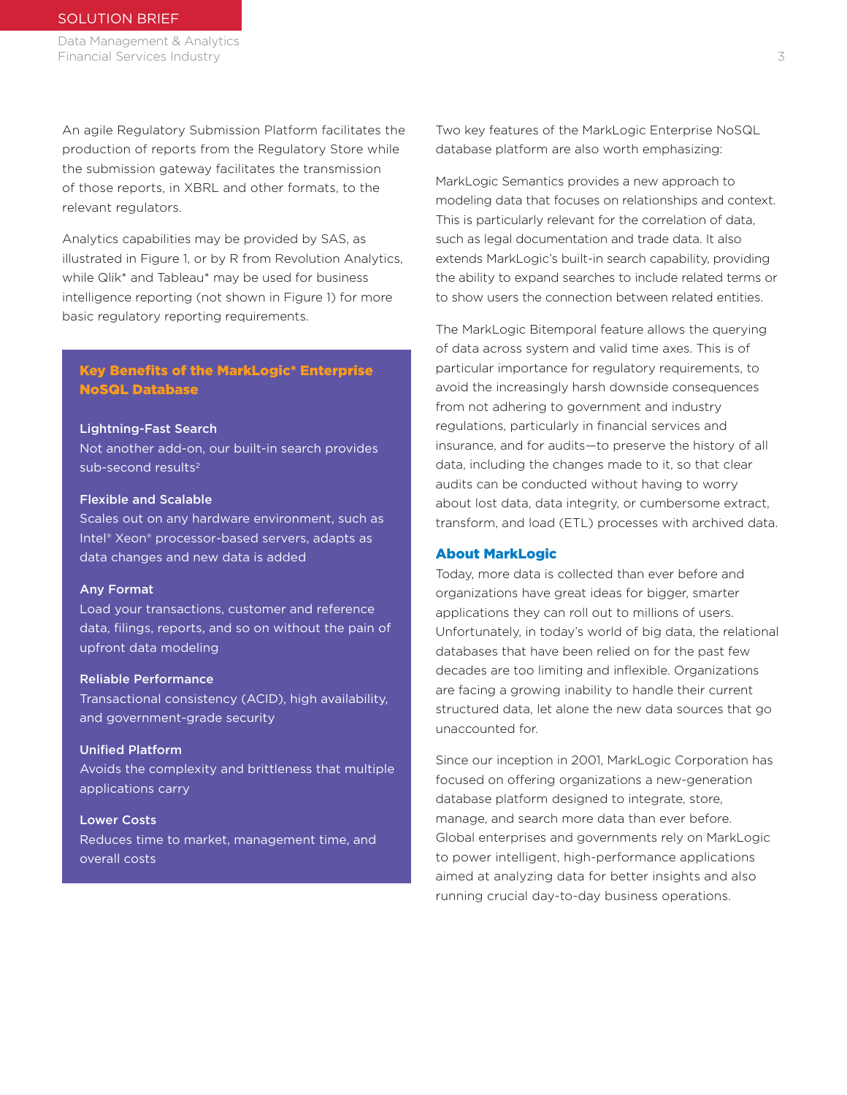Data Management & Analytics Financial Services Industry 3

An agile Regulatory Submission Platform facilitates the production of reports from the Regulatory Store while the submission gateway facilitates the transmission of those reports, in XBRL and other formats, to the relevant regulators.

Analytics capabilities may be provided by SAS, as illustrated in Figure 1, or by R from Revolution Analytics, while Qlik\* and Tableau\* may be used for business intelligence reporting (not shown in Figure 1) for more basic regulatory reporting requirements.

## Key Benefits of the MarkLogic\* Enterprise NoSQL Database

#### Lightning-Fast Search

Not another add-on, our built-in search provides sub-second results<sup>2</sup>

#### Flexible and Scalable

Scales out on any hardware environment, such as Intel® Xeon® processor-based servers, adapts as data changes and new data is added

#### Any Format

Load your transactions, customer and reference data, filings, reports, and so on without the pain of upfront data modeling

#### Reliable Performance

Transactional consistency (ACID), high availability, and government-grade security

## Unified Platform Avoids the complexity and brittleness that multiple applications carry

Lower Costs Reduces time to market, management time, and overall costs

Two key features of the MarkLogic Enterprise NoSQL database platform are also worth emphasizing:

MarkLogic Semantics provides a new approach to modeling data that focuses on relationships and context. This is particularly relevant for the correlation of data, such as legal documentation and trade data. It also extends MarkLogic's built-in search capability, providing the ability to expand searches to include related terms or to show users the connection between related entities.

The MarkLogic Bitemporal feature allows the querying of data across system and valid time axes. This is of particular importance for regulatory requirements, to avoid the increasingly harsh downside consequences from not adhering to government and industry regulations, particularly in financial services and insurance, and for audits—to preserve the history of all data, including the changes made to it, so that clear audits can be conducted without having to worry about lost data, data integrity, or cumbersome extract, transform, and load (ETL) processes with archived data.

#### About MarkLogic

Today, more data is collected than ever before and organizations have great ideas for bigger, smarter applications they can roll out to millions of users. Unfortunately, in today's world of big data, the relational databases that have been relied on for the past few decades are too limiting and inflexible. Organizations are facing a growing inability to handle their current structured data, let alone the new data sources that go unaccounted for.

Since our inception in 2001, MarkLogic Corporation has focused on offering organizations a new-generation database platform designed to integrate, store, manage, and search more data than ever before. Global enterprises and governments rely on MarkLogic to power intelligent, high-performance applications aimed at analyzing data for better insights and also running crucial day-to-day business operations.